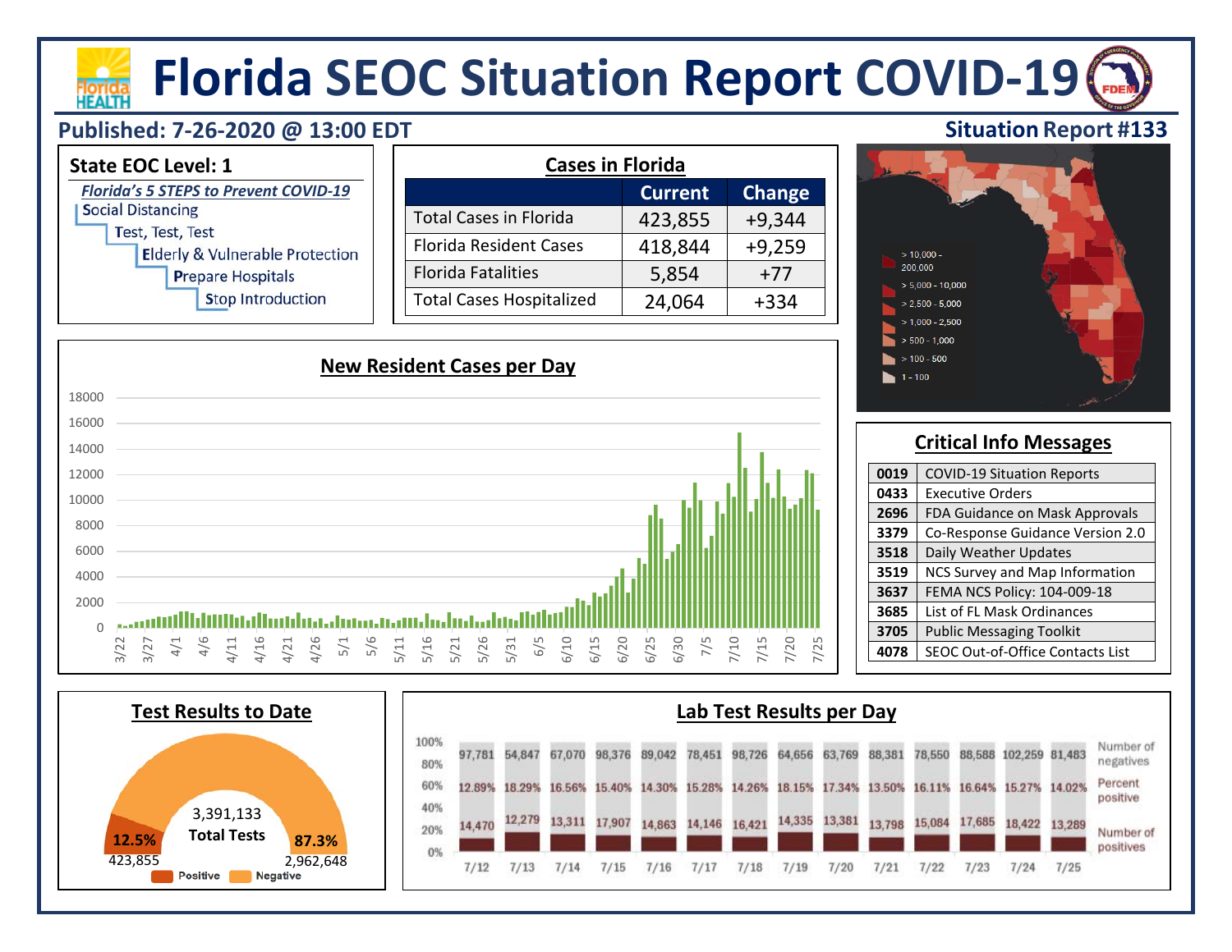# **Florida SEOC Situation Report COVID-19**

#### **Published: 7-26-2020 @ 13:00 EDT**

**HEALTH** 



| 16000       |                                                                                                                                                                                                                                                                        |  |
|-------------|------------------------------------------------------------------------------------------------------------------------------------------------------------------------------------------------------------------------------------------------------------------------|--|
| 14000       |                                                                                                                                                                                                                                                                        |  |
| 12000       |                                                                                                                                                                                                                                                                        |  |
| 10000       |                                                                                                                                                                                                                                                                        |  |
| 8000        |                                                                                                                                                                                                                                                                        |  |
| 6000        |                                                                                                                                                                                                                                                                        |  |
| 4000        |                                                                                                                                                                                                                                                                        |  |
| 2000        |                                                                                                                                                                                                                                                                        |  |
| $\mathbf 0$ | Wakiikaalkaa ka saanaa ka<br>بالالاست                                                                                                                                                                                                                                  |  |
|             | 4/26<br>$5/1$<br>$5/6$<br>5/16<br>5/31<br>6/30<br>$7/10$<br>4/16<br>4/21<br>5/11<br>5/21<br>5/26<br>6/10<br>7/5<br>/20<br>/25<br>4/6<br>4/11<br>6/5<br>6/20<br>$7/15$<br>$4/1$<br>6/15<br>6/25<br>3/22<br>3/27<br>$\overline{\phantom{0}}$<br>$\overline{\phantom{0}}$ |  |

### **Critical Info Messages**

**Situation Report #133**

| 0019<br><b>COVID-19 Situation Reports</b> |                                  |  |  |  |
|-------------------------------------------|----------------------------------|--|--|--|
| 0433                                      | <b>Executive Orders</b>          |  |  |  |
| 2696                                      | FDA Guidance on Mask Approvals   |  |  |  |
| 3379                                      | Co-Response Guidance Version 2.0 |  |  |  |
| 3518                                      | Daily Weather Updates            |  |  |  |
| 3519                                      | NCS Survey and Map Information   |  |  |  |
| 3637                                      | FEMA NCS Policy: 104-009-18      |  |  |  |
| 3685                                      | List of FL Mask Ordinances       |  |  |  |
| 3705                                      | <b>Public Messaging Toolkit</b>  |  |  |  |
| 4078                                      | SEOC Out-of-Office Contacts List |  |  |  |

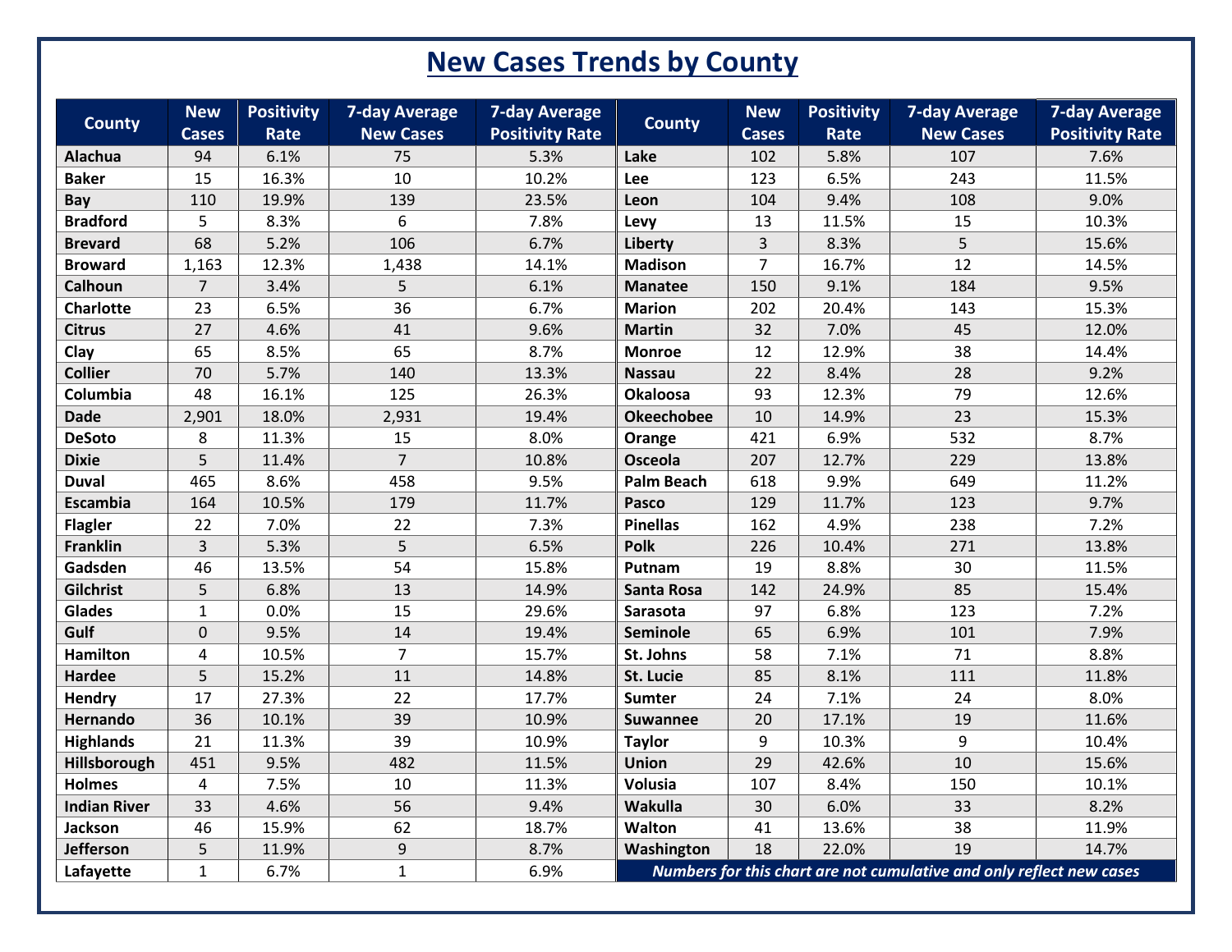## **New Cases Trends by County**

| <b>County</b>       | <b>New</b><br><b>Cases</b> | <b>Positivity</b><br>Rate | <b>7-day Average</b><br><b>New Cases</b> | <b>7-day Average</b><br><b>Positivity Rate</b> | <b>County</b>     | <b>New</b><br><b>Cases</b> | <b>Positivity</b><br><b>Rate</b> | <b>7-day Average</b><br><b>New Cases</b>                             | <b>7-day Average</b><br><b>Positivity Rate</b> |
|---------------------|----------------------------|---------------------------|------------------------------------------|------------------------------------------------|-------------------|----------------------------|----------------------------------|----------------------------------------------------------------------|------------------------------------------------|
| Alachua             | 94                         | 6.1%                      | 75                                       | 5.3%                                           | Lake              | 102                        | 5.8%                             | 107                                                                  | 7.6%                                           |
| <b>Baker</b>        | 15                         | 16.3%                     | 10                                       | 10.2%                                          | Lee               | 123                        | 6.5%                             | 243                                                                  | 11.5%                                          |
| <b>Bay</b>          | 110                        | 19.9%                     | 139                                      | 23.5%                                          | Leon              | 104                        | 9.4%                             | 108                                                                  | 9.0%                                           |
| <b>Bradford</b>     | 5                          | 8.3%                      | 6                                        | 7.8%                                           | Levy              | 13                         | 11.5%                            | 15                                                                   | 10.3%                                          |
| <b>Brevard</b>      | 68                         | 5.2%                      | 106                                      | 6.7%                                           | Liberty           | $\overline{3}$             | 8.3%                             | 5                                                                    | 15.6%                                          |
| <b>Broward</b>      | 1,163                      | 12.3%                     | 1,438                                    | 14.1%                                          | <b>Madison</b>    | $\overline{7}$             | 16.7%                            | 12                                                                   | 14.5%                                          |
| Calhoun             | $\overline{7}$             | 3.4%                      | 5                                        | 6.1%                                           | <b>Manatee</b>    | 150                        | 9.1%                             | 184                                                                  | 9.5%                                           |
| <b>Charlotte</b>    | 23                         | 6.5%                      | 36                                       | 6.7%                                           | <b>Marion</b>     | 202                        | 20.4%                            | 143                                                                  | 15.3%                                          |
| <b>Citrus</b>       | 27                         | 4.6%                      | 41                                       | 9.6%                                           | <b>Martin</b>     | 32                         | 7.0%                             | 45                                                                   | 12.0%                                          |
| Clay                | 65                         | 8.5%                      | 65                                       | 8.7%                                           | <b>Monroe</b>     | 12                         | 12.9%                            | 38                                                                   | 14.4%                                          |
| <b>Collier</b>      | 70                         | 5.7%                      | 140                                      | 13.3%                                          | <b>Nassau</b>     | 22                         | 8.4%                             | 28                                                                   | 9.2%                                           |
| Columbia            | 48                         | 16.1%                     | 125                                      | 26.3%                                          | <b>Okaloosa</b>   | 93                         | 12.3%                            | 79                                                                   | 12.6%                                          |
| <b>Dade</b>         | 2,901                      | 18.0%                     | 2,931                                    | 19.4%                                          | <b>Okeechobee</b> | 10                         | 14.9%                            | 23                                                                   | 15.3%                                          |
| <b>DeSoto</b>       | 8                          | 11.3%                     | 15                                       | 8.0%                                           | Orange            | 421                        | 6.9%                             | 532                                                                  | 8.7%                                           |
| <b>Dixie</b>        | 5                          | 11.4%                     | $\overline{7}$                           | 10.8%                                          | Osceola           | 207                        | 12.7%                            | 229                                                                  | 13.8%                                          |
| <b>Duval</b>        | 465                        | 8.6%                      | 458                                      | 9.5%                                           | <b>Palm Beach</b> | 618                        | 9.9%                             | 649                                                                  | 11.2%                                          |
| Escambia            | 164                        | 10.5%                     | 179                                      | 11.7%                                          | Pasco             | 129                        | 11.7%                            | 123                                                                  | 9.7%                                           |
| <b>Flagler</b>      | 22                         | 7.0%                      | 22                                       | 7.3%                                           | <b>Pinellas</b>   | 162                        | 4.9%                             | 238                                                                  | 7.2%                                           |
| Franklin            | $\overline{3}$             | 5.3%                      | 5                                        | 6.5%                                           | <b>Polk</b>       | 226                        | 10.4%                            | 271                                                                  | 13.8%                                          |
| Gadsden             | 46                         | 13.5%                     | 54                                       | 15.8%                                          | Putnam            | 19                         | 8.8%                             | 30                                                                   | 11.5%                                          |
| Gilchrist           | 5                          | 6.8%                      | 13                                       | 14.9%                                          | <b>Santa Rosa</b> | 142                        | 24.9%                            | 85                                                                   | 15.4%                                          |
| Glades              | $\mathbf{1}$               | 0.0%                      | 15                                       | 29.6%                                          | Sarasota          | 97                         | 6.8%                             | 123                                                                  | 7.2%                                           |
| Gulf                | $\mathbf 0$                | 9.5%                      | 14                                       | 19.4%                                          | Seminole          | 65                         | 6.9%                             | 101                                                                  | 7.9%                                           |
| <b>Hamilton</b>     | 4                          | 10.5%                     | $\overline{7}$                           | 15.7%                                          | St. Johns         | 58                         | 7.1%                             | 71                                                                   | 8.8%                                           |
| <b>Hardee</b>       | 5                          | 15.2%                     | 11                                       | 14.8%                                          | St. Lucie         | 85                         | 8.1%                             | 111                                                                  | 11.8%                                          |
| Hendry              | 17                         | 27.3%                     | 22                                       | 17.7%                                          | Sumter            | 24                         | 7.1%                             | 24                                                                   | 8.0%                                           |
| Hernando            | 36                         | 10.1%                     | 39                                       | 10.9%                                          | <b>Suwannee</b>   | 20                         | 17.1%                            | 19                                                                   | 11.6%                                          |
| <b>Highlands</b>    | 21                         | 11.3%                     | 39                                       | 10.9%                                          | <b>Taylor</b>     | 9                          | 10.3%                            | 9                                                                    | 10.4%                                          |
| Hillsborough        | 451                        | 9.5%                      | 482                                      | 11.5%                                          | <b>Union</b>      | 29                         | 42.6%                            | 10                                                                   | 15.6%                                          |
| <b>Holmes</b>       | $\overline{4}$             | 7.5%                      | 10                                       | 11.3%                                          | Volusia           | 107                        | 8.4%                             | 150                                                                  | 10.1%                                          |
| <b>Indian River</b> | 33                         | 4.6%                      | 56                                       | 9.4%                                           | Wakulla           | 30                         | 6.0%                             | 33                                                                   | 8.2%                                           |
| Jackson             | 46                         | 15.9%                     | 62                                       | 18.7%                                          | Walton            | 41                         | 13.6%                            | 38                                                                   | 11.9%                                          |
| Jefferson           | 5                          | 11.9%                     | 9                                        | 8.7%                                           | Washington        | 18                         | 22.0%                            | 19                                                                   | 14.7%                                          |
| Lafayette           | $\mathbf{1}$               | 6.7%                      | $\mathbf{1}$                             | 6.9%                                           |                   |                            |                                  | Numbers for this chart are not cumulative and only reflect new cases |                                                |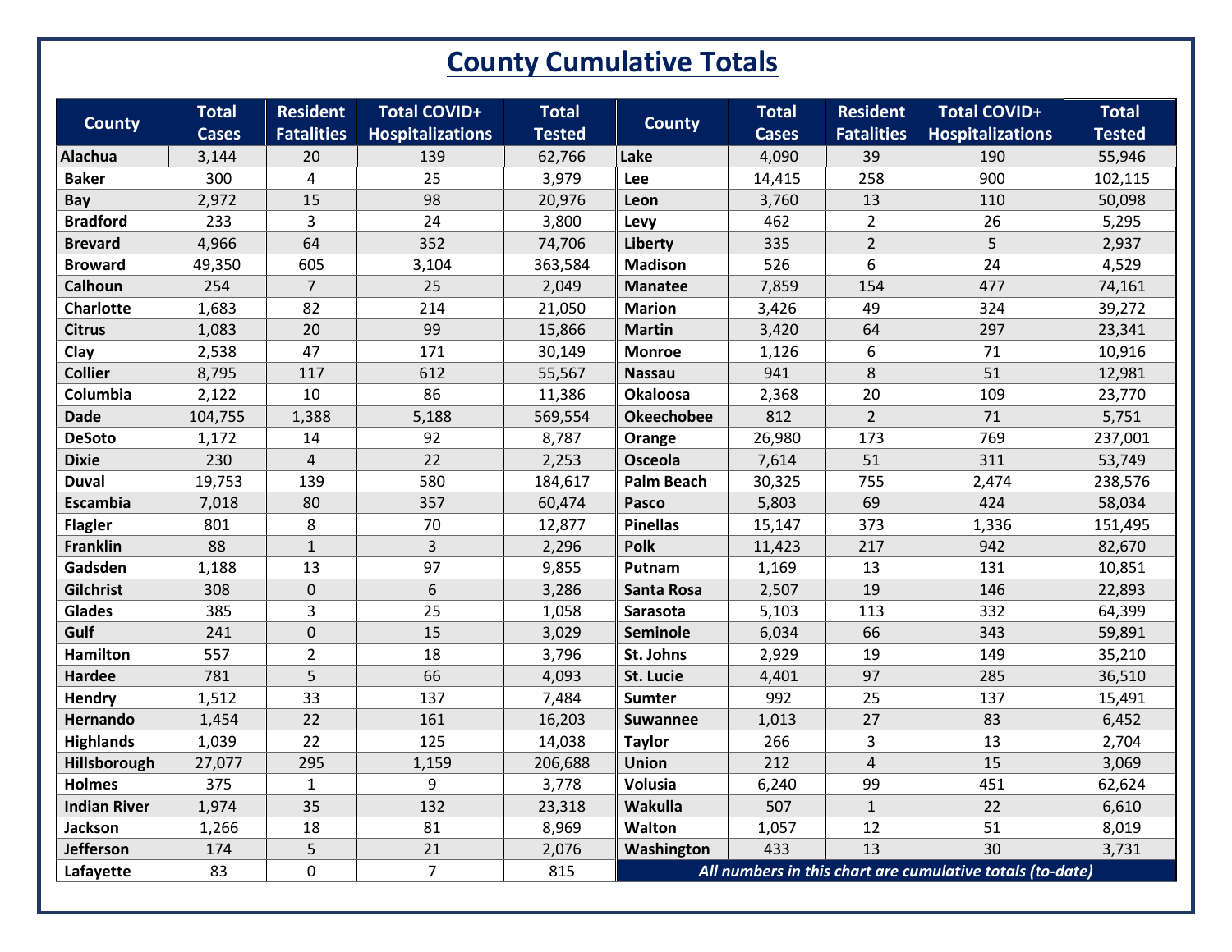## **County Cumulative Totals**

| <b>County</b>       | <b>Total</b> | <b>Resident</b>   | <b>Total COVID+</b>     | <b>Total</b>  | <b>County</b>     | <b>Total</b> | <b>Resident</b>   | <b>Total COVID+</b>                                       | <b>Total</b>  |
|---------------------|--------------|-------------------|-------------------------|---------------|-------------------|--------------|-------------------|-----------------------------------------------------------|---------------|
|                     | <b>Cases</b> | <b>Fatalities</b> | <b>Hospitalizations</b> | <b>Tested</b> |                   | <b>Cases</b> | <b>Fatalities</b> | <b>Hospitalizations</b>                                   | <b>Tested</b> |
| Alachua             | 3,144        | 20                | 139                     | 62,766        | Lake              | 4,090        | 39                | 190                                                       | 55,946        |
| <b>Baker</b>        | 300          | $\overline{4}$    | 25                      | 3,979         | Lee               | 14,415       | 258               | 900                                                       | 102,115       |
| Bay                 | 2,972        | 15                | 98                      | 20,976        | Leon              | 3,760        | 13                | 110                                                       | 50,098        |
| <b>Bradford</b>     | 233          | $\overline{3}$    | 24                      | 3,800         | Levy              | 462          | $\overline{2}$    | 26                                                        | 5,295         |
| <b>Brevard</b>      | 4,966        | 64                | 352                     | 74,706        | Liberty           | 335          | $\overline{2}$    | 5                                                         | 2,937         |
| <b>Broward</b>      | 49,350       | 605               | 3,104                   | 363,584       | <b>Madison</b>    | 526          | 6                 | 24                                                        | 4,529         |
| Calhoun             | 254          | $\overline{7}$    | 25                      | 2,049         | <b>Manatee</b>    | 7,859        | 154               | 477                                                       | 74,161        |
| <b>Charlotte</b>    | 1,683        | 82                | 214                     | 21,050        | <b>Marion</b>     | 3,426        | 49                | 324                                                       | 39,272        |
| <b>Citrus</b>       | 1,083        | 20                | 99                      | 15,866        | <b>Martin</b>     | 3,420        | 64                | 297                                                       | 23,341        |
| Clay                | 2,538        | 47                | 171                     | 30,149        | <b>Monroe</b>     | 1,126        | 6                 | 71                                                        | 10,916        |
| <b>Collier</b>      | 8,795        | 117               | 612                     | 55,567        | <b>Nassau</b>     | 941          | 8                 | 51                                                        | 12,981        |
| Columbia            | 2,122        | 10                | 86                      | 11,386        | <b>Okaloosa</b>   | 2,368        | 20                | 109                                                       | 23,770        |
| <b>Dade</b>         | 104,755      | 1,388             | 5,188                   | 569,554       | <b>Okeechobee</b> | 812          | $\overline{2}$    | 71                                                        | 5,751         |
| <b>DeSoto</b>       | 1,172        | 14                | 92                      | 8,787         | Orange            | 26,980       | 173               | 769                                                       | 237,001       |
| <b>Dixie</b>        | 230          | $\overline{4}$    | 22                      | 2,253         | <b>Osceola</b>    | 7,614        | 51                | 311                                                       | 53,749        |
| <b>Duval</b>        | 19,753       | 139               | 580                     | 184,617       | <b>Palm Beach</b> | 30,325       | 755               | 2,474                                                     | 238,576       |
| Escambia            | 7,018        | 80                | 357                     | 60,474        | Pasco             | 5,803        | 69                | 424                                                       | 58,034        |
| <b>Flagler</b>      | 801          | 8                 | 70                      | 12,877        | <b>Pinellas</b>   | 15,147       | 373               | 1,336                                                     | 151,495       |
| Franklin            | 88           | $\mathbf{1}$      | $\overline{3}$          | 2,296         | <b>Polk</b>       | 11,423       | 217               | 942                                                       | 82,670        |
| Gadsden             | 1,188        | 13                | 97                      | 9,855         | Putnam            | 1,169        | 13                | 131                                                       | 10,851        |
| Gilchrist           | 308          | $\mathbf 0$       | 6                       | 3,286         | <b>Santa Rosa</b> | 2,507        | 19                | 146                                                       | 22,893        |
| <b>Glades</b>       | 385          | 3                 | 25                      | 1,058         | Sarasota          | 5,103        | 113               | 332                                                       | 64,399        |
| Gulf                | 241          | $\mathbf 0$       | 15                      | 3,029         | Seminole          | 6,034        | 66                | 343                                                       | 59,891        |
| <b>Hamilton</b>     | 557          | $\overline{2}$    | 18                      | 3,796         | St. Johns         | 2,929        | 19                | 149                                                       | 35,210        |
| Hardee              | 781          | 5                 | 66                      | 4,093         | St. Lucie         | 4,401        | 97                | 285                                                       | 36,510        |
| Hendry              | 1,512        | 33                | 137                     | 7,484         | Sumter            | 992          | 25                | 137                                                       | 15,491        |
| Hernando            | 1,454        | 22                | 161                     | 16,203        | <b>Suwannee</b>   | 1,013        | 27                | 83                                                        | 6,452         |
| <b>Highlands</b>    | 1,039        | 22                | 125                     | 14,038        | <b>Taylor</b>     | 266          | 3                 | 13                                                        | 2,704         |
| Hillsborough        | 27,077       | 295               | 1,159                   | 206,688       | <b>Union</b>      | 212          | $\overline{4}$    | 15                                                        | 3,069         |
| <b>Holmes</b>       | 375          | $\mathbf{1}$      | 9                       | 3,778         | Volusia           | 6,240        | 99                | 451                                                       | 62,624        |
| <b>Indian River</b> | 1,974        | 35                | 132                     | 23,318        | Wakulla           | 507          | $\mathbf{1}$      | 22                                                        | 6,610         |
| Jackson             | 1,266        | 18                | 81                      | 8,969         | Walton            | 1,057        | 12                | 51                                                        | 8,019         |
| <b>Jefferson</b>    | 174          | 5                 | 21                      | 2,076         | Washington        | 433          | 13                | 30                                                        | 3,731         |
| Lafayette           | 83           | $\mathbf 0$       | $\overline{7}$          | 815           |                   |              |                   | All numbers in this chart are cumulative totals (to-date) |               |